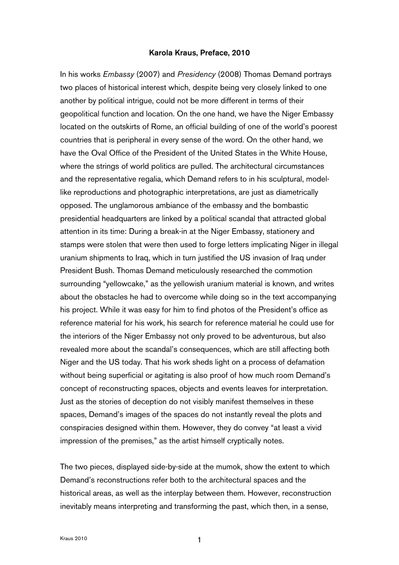## Karola Kraus, Preface, 2010

In his works *Embassy* (2007) and *Presidency* (2008) Thomas Demand portrays two places of historical interest which, despite being very closely linked to one another by political intrigue, could not be more different in terms of their geopolitical function and location. On the one hand, we have the Niger Embassy located on the outskirts of Rome, an official building of one of the world's poorest countries that is peripheral in every sense of the word. On the other hand, we have the Oval Office of the President of the United States in the White House, where the strings of world politics are pulled. The architectural circumstances and the representative regalia, which Demand refers to in his sculptural, modellike reproductions and photographic interpretations, are just as diametrically opposed. The unglamorous ambiance of the embassy and the bombastic presidential headquarters are linked by a political scandal that attracted global attention in its time: During a break-in at the Niger Embassy, stationery and stamps were stolen that were then used to forge letters implicating Niger in illegal uranium shipments to Iraq, which in turn justified the US invasion of Iraq under President Bush. Thomas Demand meticulously researched the commotion surrounding "yellowcake," as the yellowish uranium material is known, and writes about the obstacles he had to overcome while doing so in the text accompanying his project. While it was easy for him to find photos of the President's office as reference material for his work, his search for reference material he could use for the interiors of the Niger Embassy not only proved to be adventurous, but also revealed more about the scandal's consequences, which are still affecting both Niger and the US today. That his work sheds light on a process of defamation without being superficial or agitating is also proof of how much room Demand's concept of reconstructing spaces, objects and events leaves for interpretation. Just as the stories of deception do not visibly manifest themselves in these spaces, Demand's images of the spaces do not instantly reveal the plots and conspiracies designed within them. However, they do convey "at least a vivid impression of the premises," as the artist himself cryptically notes.

The two pieces, displayed side-by-side at the mumok, show the extent to which Demand's reconstructions refer both to the architectural spaces and the historical areas, as well as the interplay between them. However, reconstruction inevitably means interpreting and transforming the past, which then, in a sense,